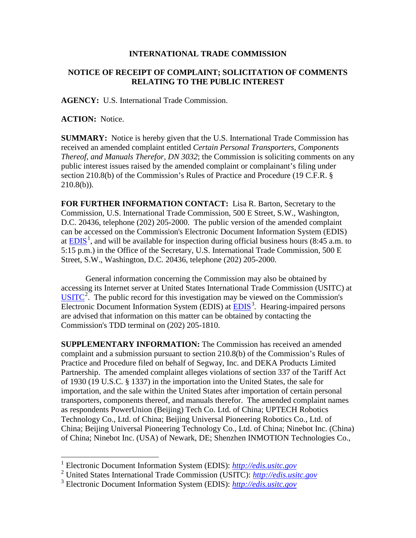## **INTERNATIONAL TRADE COMMISSION**

## **NOTICE OF RECEIPT OF COMPLAINT; SOLICITATION OF COMMENTS RELATING TO THE PUBLIC INTEREST**

**AGENCY:** U.S. International Trade Commission.

**ACTION:** Notice.

 $\overline{a}$ 

**SUMMARY:** Notice is hereby given that the U.S. International Trade Commission has received an amended complaint entitled *Certain Personal Transporters, Components Thereof, and Manuals Therefor, DN 3032*; the Commission is soliciting comments on any public interest issues raised by the amended complaint or complainant's filing under section 210.8(b) of the Commission's Rules of Practice and Procedure (19 C.F.R. §  $210.8(b)$ ).

**FOR FURTHER INFORMATION CONTACT:** Lisa R. Barton, Secretary to the Commission, U.S. International Trade Commission, 500 E Street, S.W., Washington, D.C. 20436, telephone (202) 205-2000. The public version of the amended complaint can be accessed on the Commission's Electronic Document Information System (EDIS) at  $EDIS<sup>1</sup>$  $EDIS<sup>1</sup>$  $EDIS<sup>1</sup>$ , and will be available for inspection during official business hours (8:45 a.m. to 5:15 p.m.) in the Office of the Secretary, U.S. International Trade Commission, 500 E Street, S.W., Washington, D.C. 20436, telephone (202) 205-2000.

General information concerning the Commission may also be obtained by accessing its Internet server at United States International Trade Commission (USITC) at  $\overline{USTTC}^2$  $\overline{USTTC}^2$ . The public record for this investigation may be viewed on the Commission's Electronic Document Information System (EDIS) at **EDIS**<sup>[3](#page-0-2)</sup>. Hearing-impaired persons are advised that information on this matter can be obtained by contacting the Commission's TDD terminal on (202) 205-1810.

**SUPPLEMENTARY INFORMATION:** The Commission has received an amended complaint and a submission pursuant to section 210.8(b) of the Commission's Rules of Practice and Procedure filed on behalf of Segway, Inc. and DEKA Products Limited Partnership. The amended complaint alleges violations of section 337 of the Tariff Act of 1930 (19 U.S.C. § 1337) in the importation into the United States, the sale for importation, and the sale within the United States after importation of certain personal transporters, components thereof, and manuals therefor. The amended complaint names as respondents PowerUnion (Beijing) Tech Co. Ltd. of China; UPTECH Robotics Technology Co., Ltd. of China; Beijing Universal Pioneering Robotics Co., Ltd. of China; Beijing Universal Pioneering Technology Co., Ltd. of China; Ninebot Inc. (China) of China; Ninebot Inc. (USA) of Newark, DE; Shenzhen INMOTION Technologies Co.,

<span id="page-0-0"></span><sup>1</sup> Electronic Document Information System (EDIS): *[http://edis.usitc.gov](http://edis.usitc.gov/)*

<span id="page-0-1"></span><sup>2</sup> United States International Trade Commission (USITC): *[http://edis.usitc.gov](http://edis.usitc.gov/)*

<span id="page-0-2"></span><sup>3</sup> Electronic Document Information System (EDIS): *[http://edis.usitc.gov](http://edis.usitc.gov/)*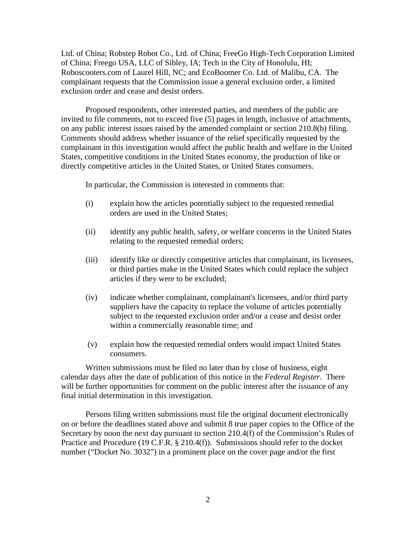Ltd. of China; Robstep Robot Co., Ltd. of China; FreeGo High-Tech Corporation Limited of China; Freego USA, LLC of Sibley, IA; Tech in the City of Honolulu, HI; Roboscooters.com of Laurel Hill, NC; and EcoBoomer Co. Ltd. of Malibu, CA. The complainant requests that the Commission issue a general exclusion order, a limited exclusion order and cease and desist orders.

Proposed respondents, other interested parties, and members of the public are invited to file comments, not to exceed five (5) pages in length, inclusive of attachments, on any public interest issues raised by the amended complaint or section 210.8(b) filing. Comments should address whether issuance of the relief specifically requested by the complainant in this investigation would affect the public health and welfare in the United States, competitive conditions in the United States economy, the production of like or directly competitive articles in the United States, or United States consumers.

In particular, the Commission is interested in comments that:

- (i) explain how the articles potentially subject to the requested remedial orders are used in the United States;
- (ii) identify any public health, safety, or welfare concerns in the United States relating to the requested remedial orders;
- (iii) identify like or directly competitive articles that complainant, its licensees, or third parties make in the United States which could replace the subject articles if they were to be excluded;
- (iv) indicate whether complainant, complainant's licensees, and/or third party suppliers have the capacity to replace the volume of articles potentially subject to the requested exclusion order and/or a cease and desist order within a commercially reasonable time; and
- (v) explain how the requested remedial orders would impact United States consumers.

Written submissions must be filed no later than by close of business, eight calendar days after the date of publication of this notice in the *Federal Register*. There will be further opportunities for comment on the public interest after the issuance of any final initial determination in this investigation.

Persons filing written submissions must file the original document electronically on or before the deadlines stated above and submit 8 true paper copies to the Office of the Secretary by noon the next day pursuant to section 210.4(f) of the Commission's Rules of Practice and Procedure (19 C.F.R. § 210.4(f)). Submissions should refer to the docket number ("Docket No. 3032") in a prominent place on the cover page and/or the first